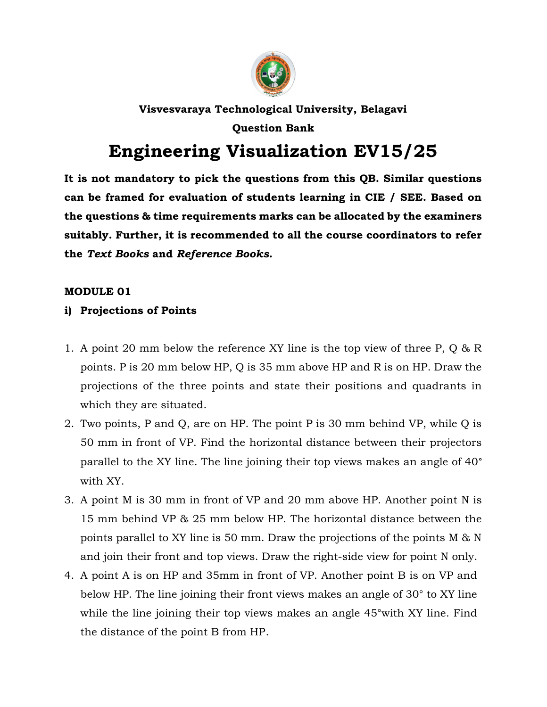

# Visvesvaraya Technological University, Belagavi Question Bank

# Engineering Visualization EV15/25

It is not mandatory to pick the questions from this QB. Similar questions can be framed for evaluation of students learning in CIE / SEE. Based on the questions & time requirements marks can be allocated by the examiners suitably. Further, it is recommended to all the course coordinators to refer the Text Books and Reference Books.

# MODULE 01

# i) Projections of Points

- 1. A point 20 mm below the reference XY line is the top view of three P, Q & R points. P is 20 mm below HP, Q is 35 mm above HP and R is on HP. Draw the projections of the three points and state their positions and quadrants in which they are situated.
- 2. Two points, P and Q, are on HP. The point P is 30 mm behind VP, while Q is 50 mm in front of VP. Find the horizontal distance between their projectors parallel to the XY line. The line joining their top views makes an angle of 40° with XY.
- 3. A point M is 30 mm in front of VP and 20 mm above HP. Another point N is 15 mm behind VP & 25 mm below HP. The horizontal distance between the points parallel to XY line is 50 mm. Draw the projections of the points M & N and join their front and top views. Draw the right-side view for point N only.
- 4. A point A is on HP and 35mm in front of VP. Another point B is on VP and below HP. The line joining their front views makes an angle of 30° to XY line while the line joining their top views makes an angle 45°with XY line. Find the distance of the point B from HP.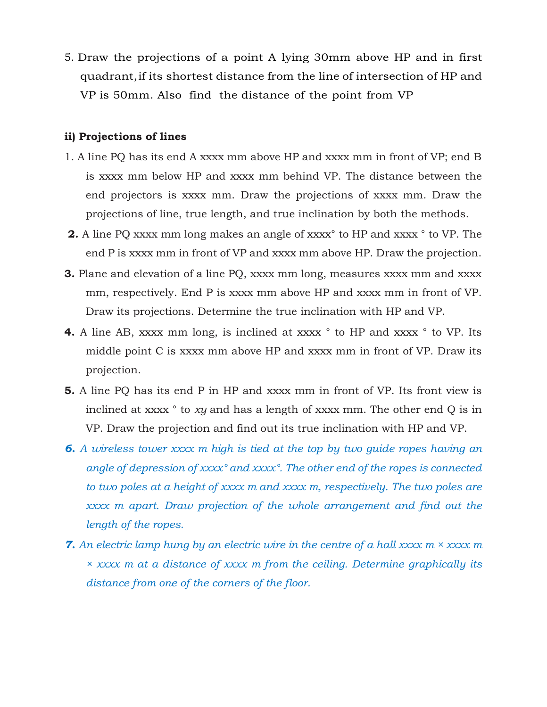5. Draw the projections of a point A lying 30mm above HP and in first quadrant, if its shortest distance from the line of intersection of HP and VP is 50mm. Also find the distance of the point from VP

#### ii) Projections of lines

- 1. A line PQ has its end A xxxx mm above HP and xxxx mm in front of VP; end B is xxxx mm below HP and xxxx mm behind VP. The distance between the end projectors is xxxx mm. Draw the projections of xxxx mm. Draw the projections of line, true length, and true inclination by both the methods.
- 2. A line PQ xxxx mm long makes an angle of xxxx<sup>o</sup> to HP and xxxx<sup>o</sup> to VP. The end P is xxxx mm in front of VP and xxxx mm above HP. Draw the projection.
- **3.** Plane and elevation of a line PQ, xxxx mm long, measures xxxx mm and xxxx mm, respectively. End P is xxxx mm above HP and xxxx mm in front of VP. Draw its projections. Determine the true inclination with HP and VP.
- 4. A line AB, xxxx mm long, is inclined at xxxx  $\degree$  to HP and xxxx  $\degree$  to VP. Its middle point C is xxxx mm above HP and xxxx mm in front of VP. Draw its projection.
- 5. A line PQ has its end P in HP and xxxx mm in front of VP. Its front view is inclined at xxxx  $\degree$  to xy and has a length of xxxx mm. The other end Q is in VP. Draw the projection and find out its true inclination with HP and VP.
- **6.** A wireless tower xxxx m high is tied at the top by two quide ropes having an angle of depression of xxxx° and xxxx°. The other end of the ropes is connected to two poles at a height of xxxx m and xxxx m, respectively. The two poles are xxxx m apart. Draw projection of the whole arrangement and find out the length of the ropes.
- **7.** An electric lamp hung by an electric wire in the centre of a hall xxxx  $m \times x$ xxx m × xxxx m at a distance of xxxx m from the ceiling. Determine graphically its distance from one of the corners of the floor.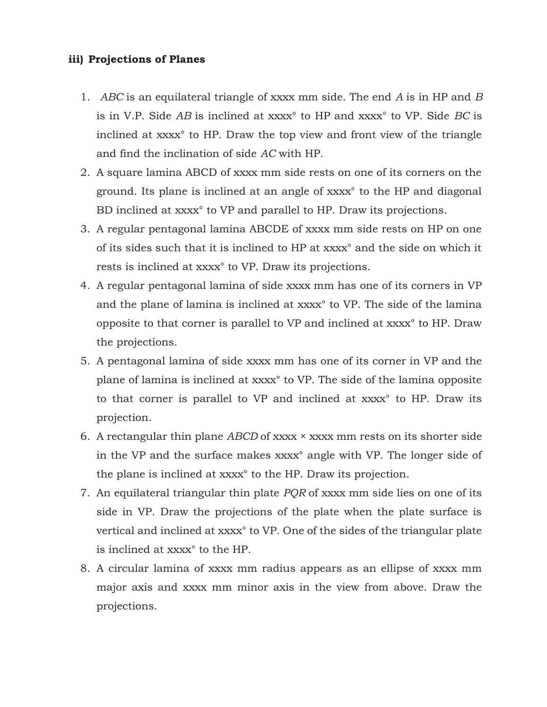## iii) Projections of Planes

- 1. ABC is an equilateral triangle of xxxx mm side. The end A is in HP and B is in V.P. Side AB is inclined at xxxx° to HP and xxxx° to VP. Side BC is inclined at xxxx° to HP. Draw the top view and front view of the triangle and find the inclination of side AC with HP.
- 2. A square lamina ABCD of xxxx mm side rests on one of its corners on the ground. Its plane is inclined at an angle of xxxx° to the HP and diagonal BD inclined at xxxx° to VP and parallel to HP. Draw its projections.
- 3. A regular pentagonal lamina ABCDE of xxxx mm side rests on HP on one of its sides such that it is inclined to HP at xxxx° and the side on which it rests is inclined at xxxx° to VP. Draw its projections.
- 4. A regular pentagonal lamina of side xxxx mm has one of its corners in VP and the plane of lamina is inclined at xxxx° to VP. The side of the lamina opposite to that corner is parallel to VP and inclined at xxxx° to HP. Draw the projections.
- 5. A pentagonal lamina of side xxxx mm has one of its corner in VP and the plane of lamina is inclined at xxxx° to VP. The side of the lamina opposite to that corner is parallel to VP and inclined at xxxx° to HP. Draw its projection.
- 6. A rectangular thin plane ABCD of xxxx  $\times$  xxxx mm rests on its shorter side in the VP and the surface makes xxxx° angle with VP. The longer side of the plane is inclined at xxxx° to the HP. Draw its projection.
- 7. An equilateral triangular thin plate PQR of xxxx mm side lies on one of its side in VP. Draw the projections of the plate when the plate surface is vertical and inclined at xxxx° to VP. One of the sides of the triangular plate is inclined at xxxx° to the HP.
- 8. A circular lamina of xxxx mm radius appears as an ellipse of xxxx mm major axis and xxxx mm minor axis in the view from above. Draw the projections.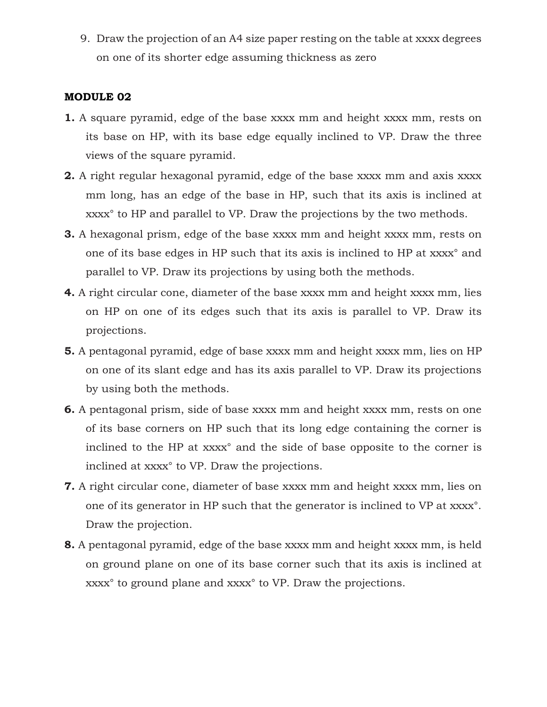9. Draw the projection of an A4 size paper resting on the table at xxxx degrees on one of its shorter edge assuming thickness as zero

### MODULE 02

- 1. A square pyramid, edge of the base xxxx mm and height xxxx mm, rests on its base on HP, with its base edge equally inclined to VP. Draw the three views of the square pyramid.
- 2. A right regular hexagonal pyramid, edge of the base xxxx mm and axis xxxx mm long, has an edge of the base in HP, such that its axis is inclined at xxxx° to HP and parallel to VP. Draw the projections by the two methods.
- 3. A hexagonal prism, edge of the base xxxx mm and height xxxx mm, rests on one of its base edges in HP such that its axis is inclined to HP at xxxx° and parallel to VP. Draw its projections by using both the methods.
- 4. A right circular cone, diameter of the base xxxx mm and height xxxx mm, lies on HP on one of its edges such that its axis is parallel to VP. Draw its projections.
- 5. A pentagonal pyramid, edge of base xxxx mm and height xxxx mm, lies on HP on one of its slant edge and has its axis parallel to VP. Draw its projections by using both the methods.
- 6. A pentagonal prism, side of base xxxx mm and height xxxx mm, rests on one of its base corners on HP such that its long edge containing the corner is inclined to the HP at xxxx° and the side of base opposite to the corner is inclined at xxxx° to VP. Draw the projections.
- 7. A right circular cone, diameter of base xxxx mm and height xxxx mm, lies on one of its generator in HP such that the generator is inclined to VP at xxxx°. Draw the projection.
- 8. A pentagonal pyramid, edge of the base xxxx mm and height xxxx mm, is held on ground plane on one of its base corner such that its axis is inclined at xxxx° to ground plane and xxxx° to VP. Draw the projections.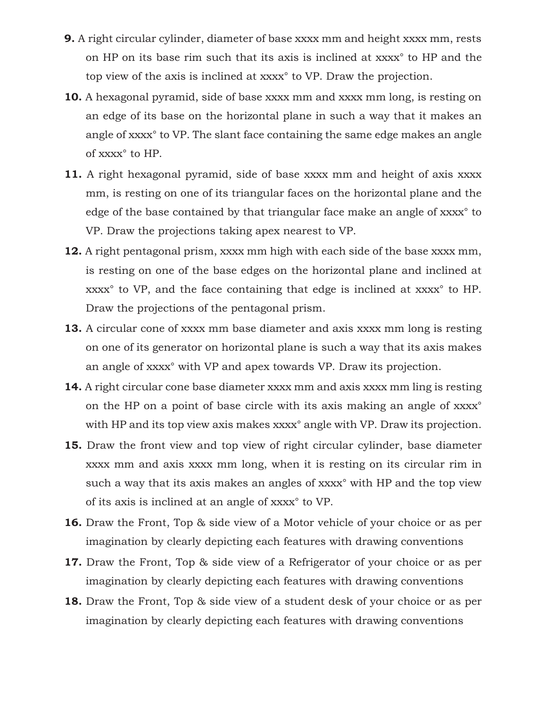- 9. A right circular cylinder, diameter of base xxxx mm and height xxxx mm, rests on HP on its base rim such that its axis is inclined at xxxx° to HP and the top view of the axis is inclined at xxxx° to VP. Draw the projection.
- 10. A hexagonal pyramid, side of base xxxx mm and xxxx mm long, is resting on an edge of its base on the horizontal plane in such a way that it makes an angle of xxxx° to VP. The slant face containing the same edge makes an angle of xxxx° to HP.
- 11. A right hexagonal pyramid, side of base xxxx mm and height of axis xxxx mm, is resting on one of its triangular faces on the horizontal plane and the edge of the base contained by that triangular face make an angle of xxxx° to VP. Draw the projections taking apex nearest to VP.
- 12. A right pentagonal prism, xxxx mm high with each side of the base xxxx mm, is resting on one of the base edges on the horizontal plane and inclined at xxxx° to VP, and the face containing that edge is inclined at xxxx° to HP. Draw the projections of the pentagonal prism.
- 13. A circular cone of xxxx mm base diameter and axis xxxx mm long is resting on one of its generator on horizontal plane is such a way that its axis makes an angle of xxxx° with VP and apex towards VP. Draw its projection.
- 14. A right circular cone base diameter xxxx mm and axis xxxx mm ling is resting on the HP on a point of base circle with its axis making an angle of xxxx<sup>°</sup> with HP and its top view axis makes xxxx<sup>°</sup> angle with VP. Draw its projection.
- 15. Draw the front view and top view of right circular cylinder, base diameter xxxx mm and axis xxxx mm long, when it is resting on its circular rim in such a way that its axis makes an angles of xxxx° with HP and the top view of its axis is inclined at an angle of xxxx° to VP.
- 16. Draw the Front, Top & side view of a Motor vehicle of your choice or as per imagination by clearly depicting each features with drawing conventions
- 17. Draw the Front, Top & side view of a Refrigerator of your choice or as per imagination by clearly depicting each features with drawing conventions
- 18. Draw the Front, Top & side view of a student desk of your choice or as per imagination by clearly depicting each features with drawing conventions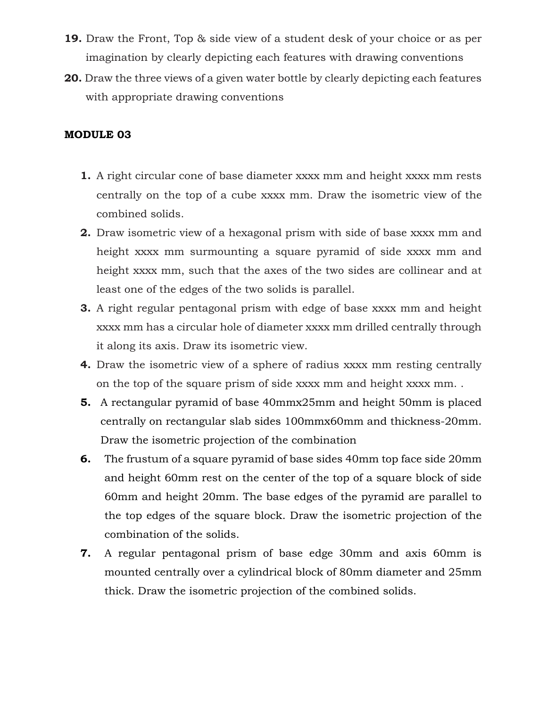- 19. Draw the Front, Top & side view of a student desk of your choice or as per imagination by clearly depicting each features with drawing conventions
- 20. Draw the three views of a given water bottle by clearly depicting each features with appropriate drawing conventions

# MODULE 03

- 1. A right circular cone of base diameter xxxx mm and height xxxx mm rests centrally on the top of a cube xxxx mm. Draw the isometric view of the combined solids.
- 2. Draw isometric view of a hexagonal prism with side of base xxxx mm and height xxxx mm surmounting a square pyramid of side xxxx mm and height xxxx mm, such that the axes of the two sides are collinear and at least one of the edges of the two solids is parallel.
- 3. A right regular pentagonal prism with edge of base xxxx mm and height xxxx mm has a circular hole of diameter xxxx mm drilled centrally through it along its axis. Draw its isometric view.
- 4. Draw the isometric view of a sphere of radius xxxx mm resting centrally on the top of the square prism of side xxxx mm and height xxxx mm. .
- 5. A rectangular pyramid of base 40mmx25mm and height 50mm is placed centrally on rectangular slab sides 100mmx60mm and thickness-20mm. Draw the isometric projection of the combination
- 6. The frustum of a square pyramid of base sides 40mm top face side 20mm and height 60mm rest on the center of the top of a square block of side 60mm and height 20mm. The base edges of the pyramid are parallel to the top edges of the square block. Draw the isometric projection of the combination of the solids.
- 7. A regular pentagonal prism of base edge 30mm and axis 60mm is mounted centrally over a cylindrical block of 80mm diameter and 25mm thick. Draw the isometric projection of the combined solids.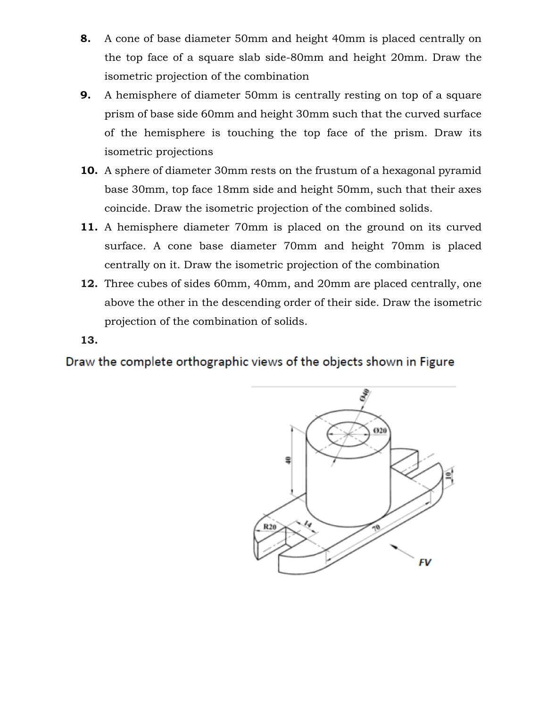- 8. A cone of base diameter 50mm and height 40mm is placed centrally on the top face of a square slab side-80mm and height 20mm. Draw the isometric projection of the combination
- **9.** A hemisphere of diameter 50mm is centrally resting on top of a square prism of base side 60mm and height 30mm such that the curved surface of the hemisphere is touching the top face of the prism. Draw its isometric projections
- 10. A sphere of diameter 30mm rests on the frustum of a hexagonal pyramid base 30mm, top face 18mm side and height 50mm, such that their axes coincide. Draw the isometric projection of the combined solids.
- 11. A hemisphere diameter 70mm is placed on the ground on its curved surface. A cone base diameter 70mm and height 70mm is placed centrally on it. Draw the isometric projection of the combination
- 12. Three cubes of sides 60mm, 40mm, and 20mm are placed centrally, one above the other in the descending order of their side. Draw the isometric projection of the combination of solids.

13.

Draw the complete orthographic views of the objects shown in Figure

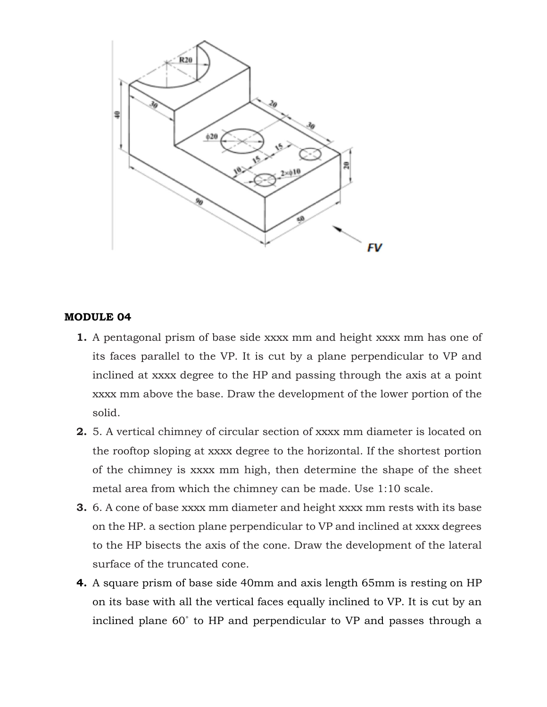

#### MODULE 04

- 1. A pentagonal prism of base side xxxx mm and height xxxx mm has one of its faces parallel to the VP. It is cut by a plane perpendicular to VP and inclined at xxxx degree to the HP and passing through the axis at a point xxxx mm above the base. Draw the development of the lower portion of the solid.
- 2. 5. A vertical chimney of circular section of xxxx mm diameter is located on the rooftop sloping at xxxx degree to the horizontal. If the shortest portion of the chimney is xxxx mm high, then determine the shape of the sheet metal area from which the chimney can be made. Use 1:10 scale.
- 3. 6. A cone of base xxxx mm diameter and height xxxx mm rests with its base on the HP. a section plane perpendicular to VP and inclined at xxxx degrees to the HP bisects the axis of the cone. Draw the development of the lateral surface of the truncated cone.
- 4. A square prism of base side 40mm and axis length 65mm is resting on HP on its base with all the vertical faces equally inclined to VP. It is cut by an inclined plane 60˚ to HP and perpendicular to VP and passes through a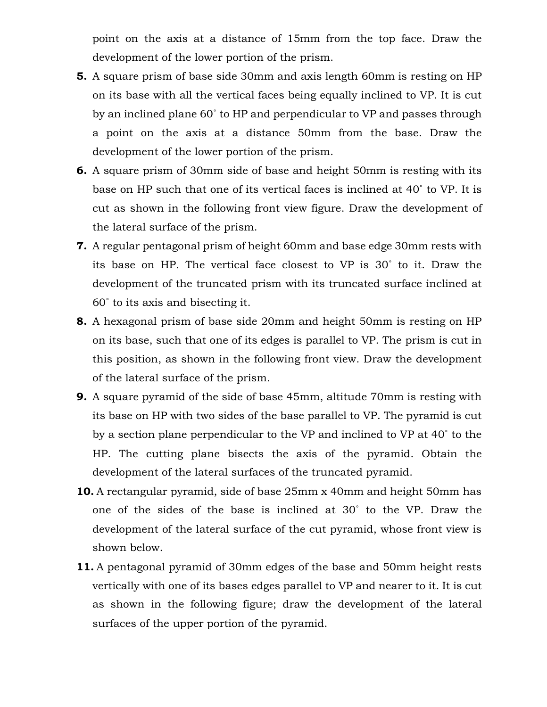point on the axis at a distance of 15mm from the top face. Draw the development of the lower portion of the prism.

- 5. A square prism of base side 30mm and axis length 60mm is resting on HP on its base with all the vertical faces being equally inclined to VP. It is cut by an inclined plane 60˚ to HP and perpendicular to VP and passes through a point on the axis at a distance 50mm from the base. Draw the development of the lower portion of the prism.
- 6. A square prism of 30mm side of base and height 50mm is resting with its base on HP such that one of its vertical faces is inclined at 40˚ to VP. It is cut as shown in the following front view figure. Draw the development of the lateral surface of the prism.
- 7. A regular pentagonal prism of height 60mm and base edge 30mm rests with its base on HP. The vertical face closest to VP is 30˚ to it. Draw the development of the truncated prism with its truncated surface inclined at 60˚ to its axis and bisecting it.
- 8. A hexagonal prism of base side 20mm and height 50mm is resting on HP on its base, such that one of its edges is parallel to VP. The prism is cut in this position, as shown in the following front view. Draw the development of the lateral surface of the prism.
- 9. A square pyramid of the side of base 45mm, altitude 70mm is resting with its base on HP with two sides of the base parallel to VP. The pyramid is cut by a section plane perpendicular to the VP and inclined to VP at 40˚ to the HP. The cutting plane bisects the axis of the pyramid. Obtain the development of the lateral surfaces of the truncated pyramid.
- 10. A rectangular pyramid, side of base 25mm x 40mm and height 50mm has one of the sides of the base is inclined at 30˚ to the VP. Draw the development of the lateral surface of the cut pyramid, whose front view is shown below.
- 11. A pentagonal pyramid of 30mm edges of the base and 50mm height rests vertically with one of its bases edges parallel to VP and nearer to it. It is cut as shown in the following figure; draw the development of the lateral surfaces of the upper portion of the pyramid.